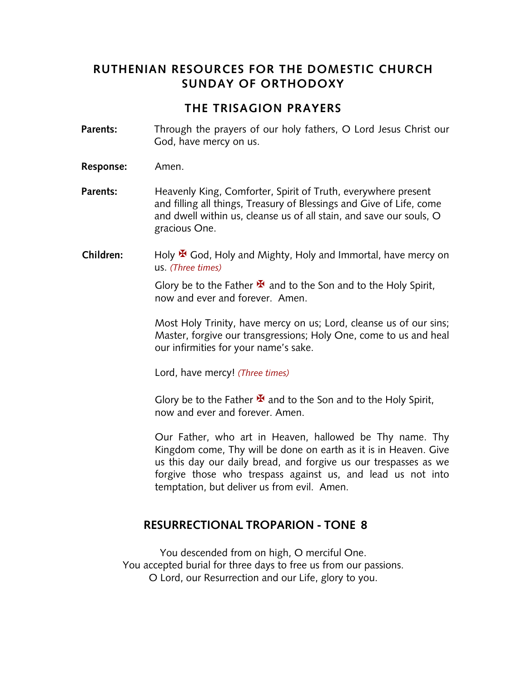## **RUTHENIAN RESOURCES FOR THE DOMESTIC CHURCH SUNDAY OF ORTHODOXY**

### **THE TRISAGION PRAYERS**

- **Parents:** Through the prayers of our holy fathers, O Lord Jesus Christ our God, have mercy on us.
- **Response:** Amen.
- **Parents:** Heavenly King, Comforter, Spirit of Truth, everywhere present and filling all things, Treasury of Blessings and Give of Life, come and dwell within us, cleanse us of all stain, and save our souls, O gracious One.
- **Children:** Holy <sup>★</sup> God, Holy and Mighty, Holy and Immortal, have mercy on us. *(Three times)*

Glory be to the Father  $\mathbf{\mathbf{\mathcal{F}}}$  and to the Son and to the Holy Spirit, now and ever and forever. Amen.

Most Holy Trinity, have mercy on us; Lord, cleanse us of our sins; Master, forgive our transgressions; Holy One, come to us and heal our infirmities for your name's sake.

Lord, have mercy! *(Three times)*

Glory be to the Father  $\mathbf{\Sigma}$  and to the Son and to the Holy Spirit, now and ever and forever. Amen.

Our Father, who art in Heaven, hallowed be Thy name. Thy Kingdom come, Thy will be done on earth as it is in Heaven. Give us this day our daily bread, and forgive us our trespasses as we forgive those who trespass against us, and lead us not into temptation, but deliver us from evil. Amen.

#### **RESURRECTIONAL TROPARION - TONE 8**

You descended from on high, O merciful One. You accepted burial for three days to free us from our passions. O Lord, our Resurrection and our Life, glory to you.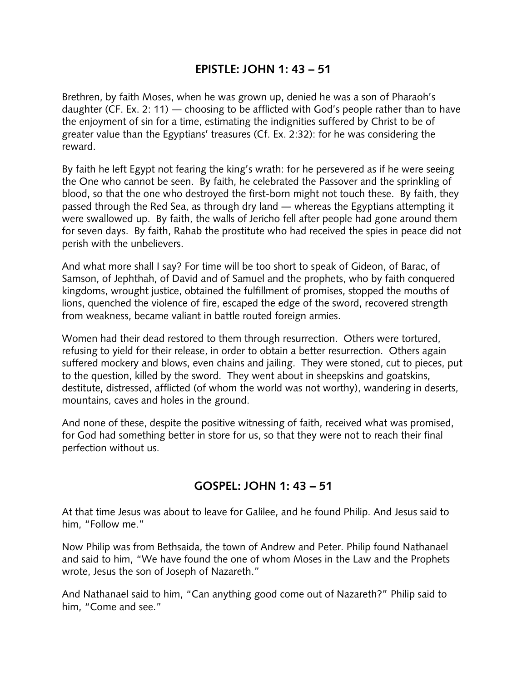## **EPISTLE: JOHN 1: 43 – 51**

Brethren, by faith Moses, when he was grown up, denied he was a son of Pharaoh's daughter (CF. Ex. 2: 11) ― choosing to be afflicted with God's people rather than to have the enjoyment of sin for a time, estimating the indignities suffered by Christ to be of greater value than the Egyptians' treasures (Cf. Ex. 2:32): for he was considering the reward.

By faith he left Egypt not fearing the king's wrath: for he persevered as if he were seeing the One who cannot be seen. By faith, he celebrated the Passover and the sprinkling of blood, so that the one who destroyed the first-born might not touch these. By faith, they passed through the Red Sea, as through dry land ― whereas the Egyptians attempting it were swallowed up. By faith, the walls of Jericho fell after people had gone around them for seven days. By faith, Rahab the prostitute who had received the spies in peace did not perish with the unbelievers.

And what more shall I say? For time will be too short to speak of Gideon, of Barac, of Samson, of Jephthah, of David and of Samuel and the prophets, who by faith conquered kingdoms, wrought justice, obtained the fulfillment of promises, stopped the mouths of lions, quenched the violence of fire, escaped the edge of the sword, recovered strength from weakness, became valiant in battle routed foreign armies.

Women had their dead restored to them through resurrection. Others were tortured, refusing to yield for their release, in order to obtain a better resurrection. Others again suffered mockery and blows, even chains and jailing. They were stoned, cut to pieces, put to the question, killed by the sword. They went about in sheepskins and goatskins, destitute, distressed, afflicted (of whom the world was not worthy), wandering in deserts, mountains, caves and holes in the ground.

And none of these, despite the positive witnessing of faith, received what was promised, for God had something better in store for us, so that they were not to reach their final perfection without us.

### **GOSPEL: JOHN 1: 43 – 51**

At that time Jesus was about to leave for Galilee, and he found Philip. And Jesus said to him, "Follow me."

Now Philip was from Bethsaida, the town of Andrew and Peter. Philip found Nathanael and said to him, "We have found the one of whom Moses in the Law and the Prophets wrote, Jesus the son of Joseph of Nazareth."

And Nathanael said to him, "Can anything good come out of Nazareth?" Philip said to him, "Come and see."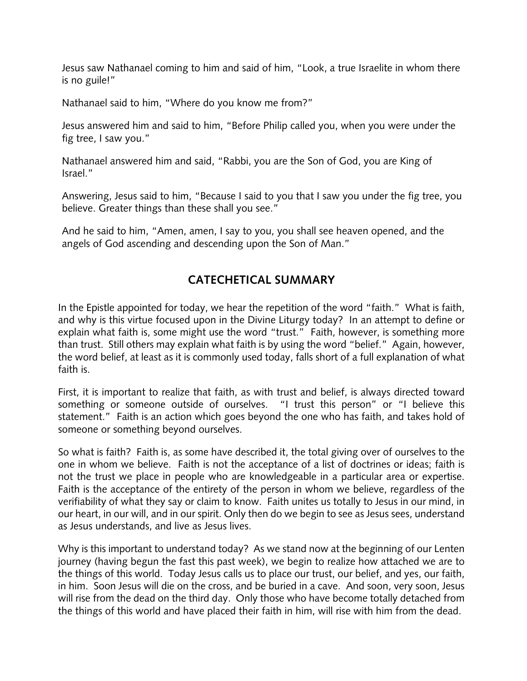Jesus saw Nathanael coming to him and said of him, "Look, a true Israelite in whom there is no guile!"

Nathanael said to him, "Where do you know me from?"

Jesus answered him and said to him, "Before Philip called you, when you were under the fig tree, I saw you."

Nathanael answered him and said, "Rabbi, you are the Son of God, you are King of Israel."

Answering, Jesus said to him, "Because I said to you that I saw you under the fig tree, you believe. Greater things than these shall you see."

And he said to him, "Amen, amen, I say to you, you shall see heaven opened, and the angels of God ascending and descending upon the Son of Man."

# **CATECHETICAL SUMMARY**

In the Epistle appointed for today, we hear the repetition of the word "faith." What is faith, and why is this virtue focused upon in the Divine Liturgy today? In an attempt to define or explain what faith is, some might use the word "trust." Faith, however, is something more than trust. Still others may explain what faith is by using the word "belief." Again, however, the word belief, at least as it is commonly used today, falls short of a full explanation of what faith is.

First, it is important to realize that faith, as with trust and belief, is always directed toward something or someone outside of ourselves. "I trust this person" or "I believe this statement." Faith is an action which goes beyond the one who has faith, and takes hold of someone or something beyond ourselves.

So what is faith? Faith is, as some have described it, the total giving over of ourselves to the one in whom we believe. Faith is not the acceptance of a list of doctrines or ideas; faith is not the trust we place in people who are knowledgeable in a particular area or expertise. Faith is the acceptance of the entirety of the person in whom we believe, regardless of the verifiability of what they say or claim to know. Faith unites us totally to Jesus in our mind, in our heart, in our will, and in our spirit. Only then do we begin to see as Jesus sees, understand as Jesus understands, and live as Jesus lives.

Why is this important to understand today? As we stand now at the beginning of our Lenten journey (having begun the fast this past week), we begin to realize how attached we are to the things of this world. Today Jesus calls us to place our trust, our belief, and yes, our faith, in him. Soon Jesus will die on the cross, and be buried in a cave. And soon, very soon, Jesus will rise from the dead on the third day. Only those who have become totally detached from the things of this world and have placed their faith in him, will rise with him from the dead.